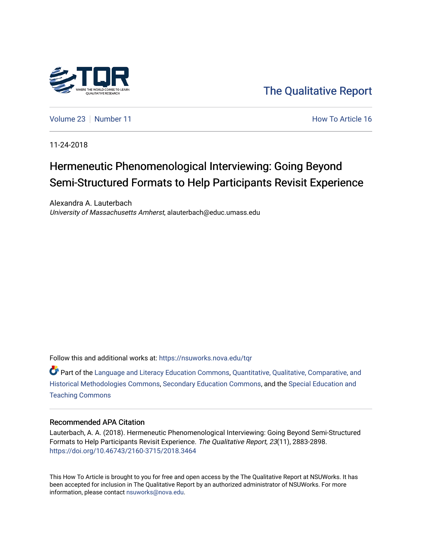

[The Qualitative Report](https://nsuworks.nova.edu/tqr) 

[Volume 23](https://nsuworks.nova.edu/tqr/vol23) [Number 11](https://nsuworks.nova.edu/tqr/vol23/iss11) **Number 11** Article 16

11-24-2018

# Hermeneutic Phenomenological Interviewing: Going Beyond Semi-Structured Formats to Help Participants Revisit Experience

Alexandra A. Lauterbach University of Massachusetts Amherst, alauterbach@educ.umass.edu

Follow this and additional works at: [https://nsuworks.nova.edu/tqr](https://nsuworks.nova.edu/tqr?utm_source=nsuworks.nova.edu%2Ftqr%2Fvol23%2Fiss11%2F16&utm_medium=PDF&utm_campaign=PDFCoverPages) 

Part of the [Language and Literacy Education Commons,](http://network.bepress.com/hgg/discipline/1380?utm_source=nsuworks.nova.edu%2Ftqr%2Fvol23%2Fiss11%2F16&utm_medium=PDF&utm_campaign=PDFCoverPages) [Quantitative, Qualitative, Comparative, and](http://network.bepress.com/hgg/discipline/423?utm_source=nsuworks.nova.edu%2Ftqr%2Fvol23%2Fiss11%2F16&utm_medium=PDF&utm_campaign=PDFCoverPages) [Historical Methodologies Commons](http://network.bepress.com/hgg/discipline/423?utm_source=nsuworks.nova.edu%2Ftqr%2Fvol23%2Fiss11%2F16&utm_medium=PDF&utm_campaign=PDFCoverPages), [Secondary Education Commons,](http://network.bepress.com/hgg/discipline/1382?utm_source=nsuworks.nova.edu%2Ftqr%2Fvol23%2Fiss11%2F16&utm_medium=PDF&utm_campaign=PDFCoverPages) and the [Special Education and](http://network.bepress.com/hgg/discipline/801?utm_source=nsuworks.nova.edu%2Ftqr%2Fvol23%2Fiss11%2F16&utm_medium=PDF&utm_campaign=PDFCoverPages) [Teaching Commons](http://network.bepress.com/hgg/discipline/801?utm_source=nsuworks.nova.edu%2Ftqr%2Fvol23%2Fiss11%2F16&utm_medium=PDF&utm_campaign=PDFCoverPages)

# Recommended APA Citation

Lauterbach, A. A. (2018). Hermeneutic Phenomenological Interviewing: Going Beyond Semi-Structured Formats to Help Participants Revisit Experience. The Qualitative Report, 23(11), 2883-2898. <https://doi.org/10.46743/2160-3715/2018.3464>

This How To Article is brought to you for free and open access by the The Qualitative Report at NSUWorks. It has been accepted for inclusion in The Qualitative Report by an authorized administrator of NSUWorks. For more information, please contact [nsuworks@nova.edu.](mailto:nsuworks@nova.edu)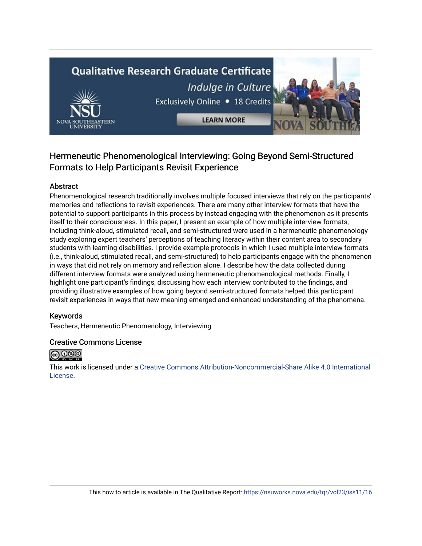# **Qualitative Research Graduate Certificate**



Indulge in Culture Exclusively Online . 18 Credits

**LEARN MORE** 



# Abstract

Phenomenological research traditionally involves multiple focused interviews that rely on the participants' memories and reflections to revisit experiences. There are many other interview formats that have the potential to support participants in this process by instead engaging with the phenomenon as it presents itself to their consciousness. In this paper, I present an example of how multiple interview formats, including think-aloud, stimulated recall, and semi-structured were used in a hermeneutic phenomenology study exploring expert teachers' perceptions of teaching literacy within their content area to secondary students with learning disabilities. I provide example protocols in which I used multiple interview formats (i.e., think-aloud, stimulated recall, and semi-structured) to help participants engage with the phenomenon in ways that did not rely on memory and reflection alone. I describe how the data collected during different interview formats were analyzed using hermeneutic phenomenological methods. Finally, I highlight one participant's findings, discussing how each interview contributed to the findings, and providing illustrative examples of how going beyond semi-structured formats helped this participant revisit experiences in ways that new meaning emerged and enhanced understanding of the phenomena.

# Keywords

Teachers, Hermeneutic Phenomenology, Interviewing

# Creative Commons License



This work is licensed under a [Creative Commons Attribution-Noncommercial-Share Alike 4.0 International](https://creativecommons.org/licenses/by-nc-sa/4.0/)  [License](https://creativecommons.org/licenses/by-nc-sa/4.0/).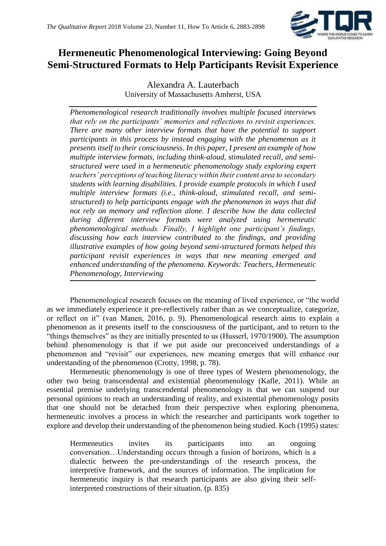

# **Hermeneutic Phenomenological Interviewing: Going Beyond Semi-Structured Formats to Help Participants Revisit Experience**

Alexandra A. Lauterbach University of Massachusetts Amherst, USA

*Phenomenological research traditionally involves multiple focused interviews that rely on the participants' memories and reflections to revisit experiences. There are many other interview formats that have the potential to support participants in this process by instead engaging with the phenomenon as it presents itself to their consciousness. In this paper, I present an example of how multiple interview formats, including think-aloud, stimulated recall, and semistructured were used in a hermeneutic phenomenology study exploring expert teachers' perceptions of teaching literacy within their content area to secondary students with learning disabilities. I provide example protocols in which I used multiple interview formats (i.e., think-aloud, stimulated recall, and semistructured) to help participants engage with the phenomenon in ways that did not rely on memory and reflection alone. I describe how the data collected during different interview formats were analyzed using hermeneutic phenomenological methods. Finally, I highlight one participant's findings, discussing how each interview contributed to the findings, and providing illustrative examples of how going beyond semi-structured formats helped this participant revisit experiences in ways that new meaning emerged and enhanced understanding of the phenomena. Keywords: Teachers, Hermeneutic Phenomenology, Interviewing*

Phenomenological research focuses on the meaning of lived experience, or "the world as we immediately experience it pre-reflectively rather than as we conceptualize, categorize, or reflect on it" (van Manen, 2016, p. 9). Phenomenological research aims to explain a phenomenon as it presents itself to the consciousness of the participant, and to return to the "things themselves" as they are initially presented to us (Husserl, 1970/1900). The assumption behind phenomenology is that if we put aside our preconceived understandings of a phenomenon and "revisit" our experiences, new meaning emerges that will enhance our understanding of the phenomenon (Crotty, 1998, p. 78).

Hermeneutic phenomenology is one of three types of Western phenomenology, the other two being transcendental and existential phenomenology (Kafle, 2011). While an essential premise underlying transcendental phenomenology is that we can suspend our personal opinions to reach an understanding of reality, and existential phenomenology posits that one should not be detached from their perspective when exploring phenomena, hermeneutic involves a process in which the researcher and participants work together to explore and develop their understanding of the phenomenon being studied. Koch (1995) states:

Hermeneutics invites its participants into an ongoing conversation…Understanding occurs through a fusion of horizons, which is a dialectic between the pre-understandings of the research process, the interpretive framework, and the sources of information. The implication for hermeneutic inquiry is that research participants are also giving their selfinterpreted constructions of their situation. (p. 835)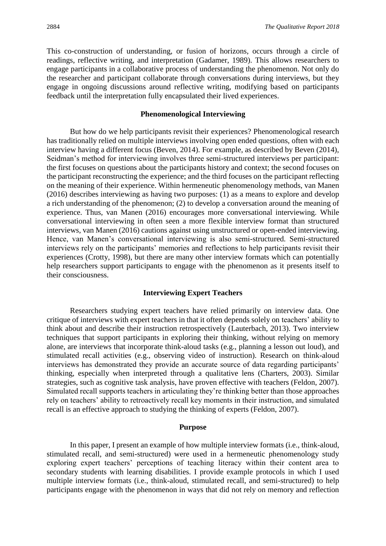This co-construction of understanding, or fusion of horizons, occurs through a circle of readings, reflective writing, and interpretation (Gadamer, 1989). This allows researchers to engage participants in a collaborative process of understanding the phenomenon. Not only do the researcher and participant collaborate through conversations during interviews, but they engage in ongoing discussions around reflective writing, modifying based on participants feedback until the interpretation fully encapsulated their lived experiences.

# **Phenomenological Interviewing**

But how do we help participants revisit their experiences? Phenomenological research has traditionally relied on multiple interviews involving open ended questions, often with each interview having a different focus (Beven, 2014). For example, as described by Beven (2014), Seidman's method for interviewing involves three semi-structured interviews per participant: the first focuses on questions about the participants history and context; the second focuses on the participant reconstructing the experience; and the third focuses on the participant reflecting on the meaning of their experience. Within hermeneutic phenomenology methods, van Manen (2016) describes interviewing as having two purposes: (1) as a means to explore and develop a rich understanding of the phenomenon; (2) to develop a conversation around the meaning of experience. Thus, van Manen (2016) encourages more conversational interviewing. While conversational interviewing in often seen a more flexible interview format than structured interviews, van Manen (2016) cautions against using unstructured or open-ended interviewing. Hence, van Manen's conversational interviewing is also semi-structured. Semi-structured interviews rely on the participants' memories and reflections to help participants revisit their experiences (Crotty, 1998), but there are many other interview formats which can potentially help researchers support participants to engage with the phenomenon as it presents itself to their consciousness.

#### **Interviewing Expert Teachers**

Researchers studying expert teachers have relied primarily on interview data. One critique of interviews with expert teachers in that it often depends solely on teachers' ability to think about and describe their instruction retrospectively (Lauterbach, 2013). Two interview techniques that support participants in exploring their thinking, without relying on memory alone, are interviews that incorporate think-aloud tasks (e.g., planning a lesson out loud), and stimulated recall activities (e.g., observing video of instruction). Research on think-aloud interviews has demonstrated they provide an accurate source of data regarding participants' thinking, especially when interpreted through a qualitative lens (Charters, 2003). Similar strategies, such as cognitive task analysis, have proven effective with teachers (Feldon, 2007). Simulated recall supports teachers in articulating they're thinking better than those approaches rely on teachers' ability to retroactively recall key moments in their instruction, and simulated recall is an effective approach to studying the thinking of experts (Feldon, 2007).

#### **Purpose**

In this paper, I present an example of how multiple interview formats (i.e., think-aloud, stimulated recall, and semi-structured) were used in a hermeneutic phenomenology study exploring expert teachers' perceptions of teaching literacy within their content area to secondary students with learning disabilities. I provide example protocols in which I used multiple interview formats (i.e., think-aloud, stimulated recall, and semi-structured) to help participants engage with the phenomenon in ways that did not rely on memory and reflection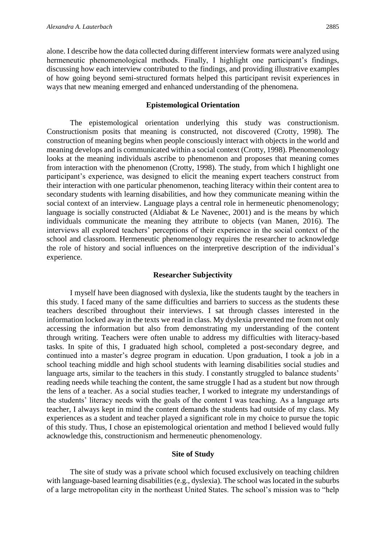alone. I describe how the data collected during different interview formats were analyzed using hermeneutic phenomenological methods. Finally, I highlight one participant's findings, discussing how each interview contributed to the findings, and providing illustrative examples of how going beyond semi-structured formats helped this participant revisit experiences in ways that new meaning emerged and enhanced understanding of the phenomena.

### **Epistemological Orientation**

The epistemological orientation underlying this study was constructionism. Constructionism posits that meaning is constructed, not discovered (Crotty, 1998). The construction of meaning begins when people consciously interact with objects in the world and meaning develops and is communicated within a social context (Crotty, 1998). Phenomenology looks at the meaning individuals ascribe to phenomenon and proposes that meaning comes from interaction with the phenomenon (Crotty, 1998). The study, from which I highlight one participant's experience, was designed to elicit the meaning expert teachers construct from their interaction with one particular phenomenon, teaching literacy within their content area to secondary students with learning disabilities, and how they communicate meaning within the social context of an interview. Language plays a central role in hermeneutic phenomenology; language is socially constructed (Aldiabat  $\&$  Le Navenec, 2001) and is the means by which individuals communicate the meaning they attribute to objects (van Manen, 2016). The interviews all explored teachers' perceptions of their experience in the social context of the school and classroom. Hermeneutic phenomenology requires the researcher to acknowledge the role of history and social influences on the interpretive description of the individual's experience.

# **Researcher Subjectivity**

I myself have been diagnosed with dyslexia, like the students taught by the teachers in this study. I faced many of the same difficulties and barriers to success as the students these teachers described throughout their interviews. I sat through classes interested in the information locked away in the texts we read in class. My dyslexia prevented me from not only accessing the information but also from demonstrating my understanding of the content through writing. Teachers were often unable to address my difficulties with literacy-based tasks. In spite of this, I graduated high school, completed a post-secondary degree, and continued into a master's degree program in education. Upon graduation, I took a job in a school teaching middle and high school students with learning disabilities social studies and language arts, similar to the teachers in this study. I constantly struggled to balance students' reading needs while teaching the content, the same struggle I had as a student but now through the lens of a teacher. As a social studies teacher, I worked to integrate my understandings of the students' literacy needs with the goals of the content I was teaching. As a language arts teacher, I always kept in mind the content demands the students had outside of my class. My experiences as a student and teacher played a significant role in my choice to pursue the topic of this study. Thus, I chose an epistemological orientation and method I believed would fully acknowledge this, constructionism and hermeneutic phenomenology.

## **Site of Study**

The site of study was a private school which focused exclusively on teaching children with language-based learning disabilities (e.g., dyslexia). The school was located in the suburbs of a large metropolitan city in the northeast United States. The school's mission was to "help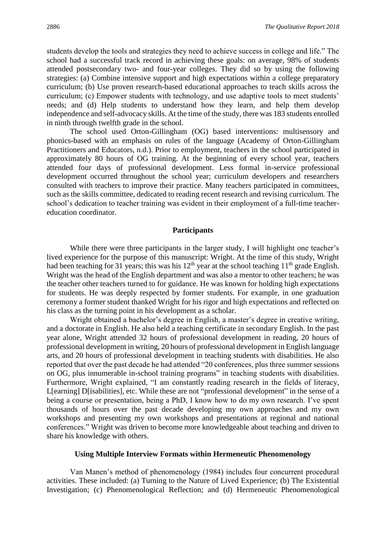students develop the tools and strategies they need to achieve success in college and life." The school had a successful track record in achieving these goals: on average, 98% of students attended postsecondary two- and four-year colleges. They did so by using the following strategies: (a) Combine intensive support and high expectations within a college preparatory curriculum; (b) Use proven research-based educational approaches to teach skills across the curriculum; (c) Empower students with technology, and use adaptive tools to meet students' needs; and (d) Help students to understand how they learn, and help them develop independence and self-advocacy skills. At the time of the study, there was 183 students enrolled in ninth through twelfth grade in the school.

The school used Orton-Gillingham (OG) based interventions: multisensory and phonics-based with an emphasis on rules of the language (Academy of Orton-Gillingham Practitioners and Educators, n.d.). Prior to employment, teachers in the school participated in approximately 80 hours of OG training. At the beginning of every school year, teachers attended four days of professional development. Less formal in-service professional development occurred throughout the school year; curriculum developers and researchers consulted with teachers to improve their practice. Many teachers participated in committees, such as the skills committee, dedicated to reading recent research and revising curriculum. The school's dedication to teacher training was evident in their employment of a full-time teachereducation coordinator.

# **Participants**

While there were three participants in the larger study, I will highlight one teacher's lived experience for the purpose of this manuscript: Wright. At the time of this study, Wright had been teaching for 31 years; this was his  $12^{th}$  year at the school teaching  $11^{th}$  grade English. Wright was the head of the English department and was also a mentor to other teachers; he was the teacher other teachers turned to for guidance. He was known for holding high expectations for students. He was deeply respected by former students. For example, in one graduation ceremony a former student thanked Wright for his rigor and high expectations and reflected on his class as the turning point in his development as a scholar.

Wright obtained a bachelor's degree in English, a master's degree in creative writing, and a doctorate in English. He also held a teaching certificate in secondary English. In the past year alone, Wright attended 32 hours of professional development in reading, 20 hours of professional development in writing, 20 hours of professional development in English language arts, and 20 hours of professional development in teaching students with disabilities. He also reported that over the past decade he had attended "20 conferences, plus three summer sessions on OG, plus innumerable in-school training programs" in teaching students with disabilities. Furthermore, Wright explained, "I am constantly reading research in the fields of literacy, L[earning] D[isabilities], etc. While these are not "professional development" in the sense of a being a course or presentation, being a PhD, I know how to do my own research. I've spent thousands of hours over the past decade developing my own approaches and my own workshops and presenting my own workshops and presentations at regional and national conferences." Wright was driven to become more knowledgeable about teaching and driven to share his knowledge with others.

## **Using Multiple Interview Formats within Hermeneutic Phenomenology**

Van Manen's method of phenomenology (1984) includes four concurrent procedural activities. These included: (a) Turning to the Nature of Lived Experience; (b) The Existential Investigation; (c) Phenomenological Reflection; and (d) Hermeneutic Phenomenological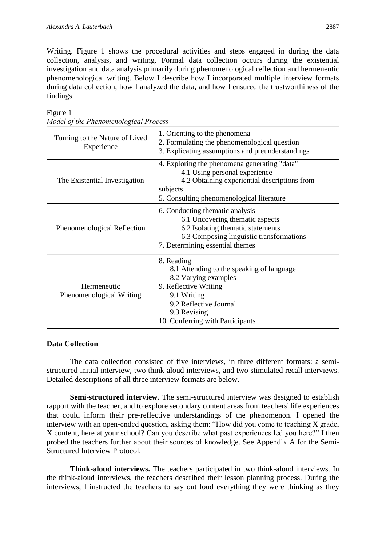Writing. Figure 1 shows the procedural activities and steps engaged in during the data collection, analysis, and writing. Formal data collection occurs during the existential investigation and data analysis primarily during phenomenological reflection and hermeneutic phenomenological writing. Below I describe how I incorporated multiple interview formats during data collection, how I analyzed the data, and how I ensured the trustworthiness of the findings.

| Turning to the Nature of Lived<br>Experience | 1. Orienting to the phenomena<br>2. Formulating the phenomenological question<br>3. Explicating assumptions and preunderstandings                                                                     |
|----------------------------------------------|-------------------------------------------------------------------------------------------------------------------------------------------------------------------------------------------------------|
| The Existential Investigation                | 4. Exploring the phenomena generating "data"<br>4.1 Using personal experience<br>4.2 Obtaining experiential descriptions from<br>subjects<br>5. Consulting phenomenological literature                |
| Phenomenological Reflection                  | 6. Conducting thematic analysis<br>6.1 Uncovering thematic aspects<br>6.2 Isolating thematic statements<br>6.3 Composing linguistic transformations<br>7. Determining essential themes                |
| Hermeneutic<br>Phenomenological Writing      | 8. Reading<br>8.1 Attending to the speaking of language<br>8.2 Varying examples<br>9. Reflective Writing<br>9.1 Writing<br>9.2 Reflective Journal<br>9.3 Revising<br>10. Conferring with Participants |

Figure 1 *Model of the Phenomenological Process*

# **Data Collection**

The data collection consisted of five interviews, in three different formats: a semistructured initial interview, two think-aloud interviews, and two stimulated recall interviews. Detailed descriptions of all three interview formats are below.

**Semi-structured interview.** The semi-structured interview was designed to establish rapport with the teacher, and to explore secondary content areas from teachers' life experiences that could inform their pre-reflective understandings of the phenomenon. I opened the interview with an open-ended question, asking them: "How did you come to teaching X grade, X content, here at your school? Can you describe what past experiences led you here?" I then probed the teachers further about their sources of knowledge. See Appendix A for the Semi-Structured Interview Protocol.

**Think-aloud interviews.** The teachers participated in two think-aloud interviews. In the think-aloud interviews, the teachers described their lesson planning process. During the interviews, I instructed the teachers to say out loud everything they were thinking as they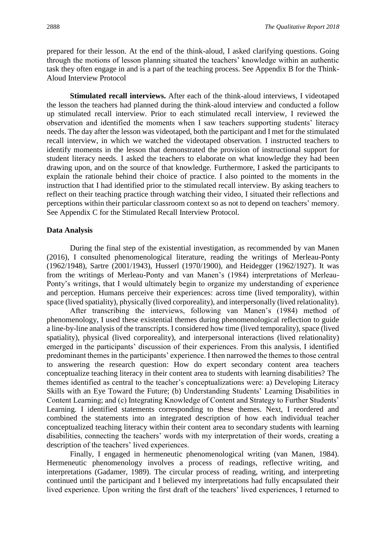prepared for their lesson. At the end of the think-aloud, I asked clarifying questions. Going through the motions of lesson planning situated the teachers' knowledge within an authentic task they often engage in and is a part of the teaching process. See Appendix B for the Think-Aloud Interview Protocol

**Stimulated recall interviews.** After each of the think-aloud interviews, I videotaped the lesson the teachers had planned during the think-aloud interview and conducted a follow up stimulated recall interview. Prior to each stimulated recall interview, I reviewed the observation and identified the moments when I saw teachers supporting students' literacy needs. The day after the lesson was videotaped, both the participant and I met for the stimulated recall interview, in which we watched the videotaped observation. I instructed teachers to identify moments in the lesson that demonstrated the provision of instructional support for student literacy needs. I asked the teachers to elaborate on what knowledge they had been drawing upon, and on the source of that knowledge. Furthermore, I asked the participants to explain the rationale behind their choice of practice. I also pointed to the moments in the instruction that I had identified prior to the stimulated recall interview. By asking teachers to reflect on their teaching practice through watching their video, I situated their reflections and perceptions within their particular classroom context so as not to depend on teachers' memory. See Appendix C for the Stimulated Recall Interview Protocol.

# **Data Analysis**

During the final step of the existential investigation, as recommended by van Manen (2016), I consulted phenomenological literature, reading the writings of Merleau-Ponty (1962/1948), Sartre (2001/1943), Husserl (1970/1900), and Heidegger (1962/1927). It was from the writings of Merleau-Ponty and van Manen's (1984) interpretations of Merleau-Ponty's writings, that I would ultimately begin to organize my understanding of experience and perception. Humans perceive their experiences: across time (lived temporality), within space (lived spatiality), physically (lived corporeality), and interpersonally (lived relationality).

After transcribing the interviews, following van Manen's (1984) method of phenomenology, I used these existential themes during phenomenological reflection to guide a line-by-line analysis of the transcripts. I considered how time (lived temporality), space (lived spatiality), physical (lived corporeality), and interpersonal interactions (lived relationality) emerged in the participants' discussion of their experiences. From this analysis, I identified predominant themes in the participants' experience. I then narrowed the themes to those central to answering the research question: How do expert secondary content area teachers conceptualize teaching literacy in their content area to students with learning disabilities? The themes identified as central to the teacher's conceptualizations were: a) Developing Literacy Skills with an Eye Toward the Future; (b) Understanding Students' Learning Disabilities in Content Learning; and (c) Integrating Knowledge of Content and Strategy to Further Students' Learning. I identified statements corresponding to these themes. Next, I reordered and combined the statements into an integrated description of how each individual teacher conceptualized teaching literacy within their content area to secondary students with learning disabilities, connecting the teachers' words with my interpretation of their words, creating a description of the teachers' lived experiences.

Finally, I engaged in hermeneutic phenomenological writing (van Manen, 1984). Hermeneutic phenomenology involves a process of readings, reflective writing, and interpretations (Gadamer, 1989). The circular process of reading, writing, and interpreting continued until the participant and I believed my interpretations had fully encapsulated their lived experience. Upon writing the first draft of the teachers' lived experiences, I returned to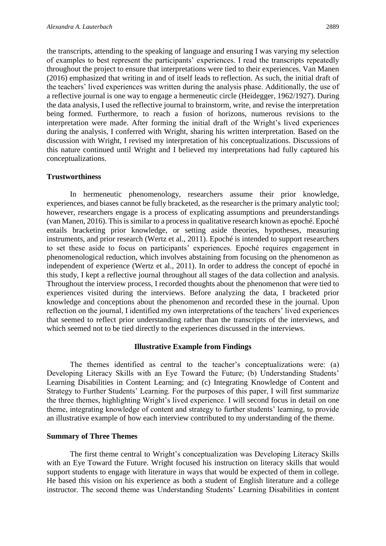the transcripts, attending to the speaking of language and ensuring I was varying my selection of examples to best represent the participants' experiences. I read the transcripts repeatedly throughout the project to ensure that interpretations were tied to their experiences. Van Manen (2016) emphasized that writing in and of itself leads to reflection. As such, the initial draft of the teachers' lived experiences was written during the analysis phase. Additionally, the use of a reflective journal is one way to engage a hermeneutic circle (Heidegger, 1962/1927). During the data analysis, I used the reflective journal to brainstorm, write, and revise the interpretation being formed. Furthermore, to reach a fusion of horizons, numerous revisions to the interpretation were made. After forming the initial draft of the Wright's lived experiences during the analysis, I conferred with Wright, sharing his written interpretation. Based on the discussion with Wright, I revised my interpretation of his conceptualizations. Discussions of this nature continued until Wright and I believed my interpretations had fully captured his conceptualizations.

# **Trustworthiness**

In hermeneutic phenomenology, researchers assume their prior knowledge, experiences, and biases cannot be fully bracketed, as the researcher is the primary analytic tool; however, researchers engage is a process of explicating assumptions and preunderstandings (van Manen, 2016). This is similar to a process in qualitative research known as epoché. Epoché entails bracketing prior knowledge, or setting aside theories, hypotheses, measuring instruments, and prior research (Wertz et al., 2011). Epoché is intended to support researchers to set these aside to focus on participants' experiences. Epoché requires engagement in phenomenological reduction, which involves abstaining from focusing on the phenomenon as independent of experience (Wertz et al., 2011). In order to address the concept of epoché in this study, I kept a reflective journal throughout all stages of the data collection and analysis. Throughout the interview process, I recorded thoughts about the phenomenon that were tied to experiences visited during the interviews. Before analyzing the data, I bracketed prior knowledge and conceptions about the phenomenon and recorded these in the journal. Upon reflection on the journal, I identified my own interpretations of the teachers' lived experiences that seemed to reflect prior understanding rather than the transcripts of the interviews, and which seemed not to be tied directly to the experiences discussed in the interviews.

#### **Illustrative Example from Findings**

The themes identified as central to the teacher's conceptualizations were: (a) Developing Literacy Skills with an Eye Toward the Future; (b) Understanding Students' Learning Disabilities in Content Learning; and (c) Integrating Knowledge of Content and Strategy to Further Students' Learning. For the purposes of this paper, I will first summarize the three themes, highlighting Wright's lived experience. I will second focus in detail on one theme, integrating knowledge of content and strategy to further students' learning, to provide an illustrative example of how each interview contributed to my understanding of the theme.

# **Summary of Three Themes**

The first theme central to Wright's conceptualization was Developing Literacy Skills with an Eye Toward the Future. Wright focused his instruction on literacy skills that would support students to engage with literature in ways that would be expected of them in college. He based this vision on his experience as both a student of English literature and a college instructor. The second theme was Understanding Students' Learning Disabilities in content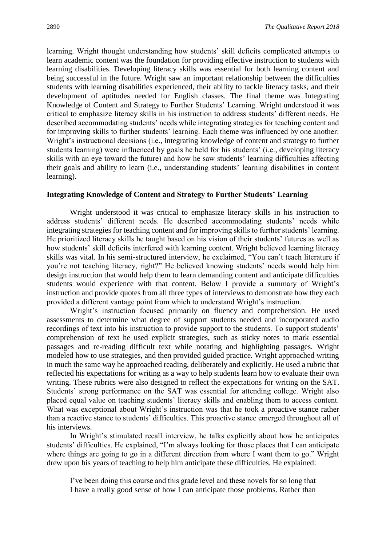learning. Wright thought understanding how students' skill deficits complicated attempts to learn academic content was the foundation for providing effective instruction to students with learning disabilities. Developing literacy skills was essential for both learning content and being successful in the future. Wright saw an important relationship between the difficulties students with learning disabilities experienced, their ability to tackle literacy tasks, and their development of aptitudes needed for English classes. The final theme was Integrating Knowledge of Content and Strategy to Further Students' Learning. Wright understood it was critical to emphasize literacy skills in his instruction to address students' different needs. He described accommodating students' needs while integrating strategies for teaching content and for improving skills to further students' learning. Each theme was influenced by one another: Wright's instructional decisions (i.e., integrating knowledge of content and strategy to further students learning) were influenced by goals he held for his students' (i.e., developing literacy skills with an eye toward the future) and how he saw students' learning difficulties affecting their goals and ability to learn (i.e., understanding students' learning disabilities in content learning).

### **Integrating Knowledge of Content and Strategy to Further Students' Learning**

Wright understood it was critical to emphasize literacy skills in his instruction to address students' different needs. He described accommodating students' needs while integrating strategies for teaching content and for improving skills to further students' learning. He prioritized literacy skills he taught based on his vision of their students' futures as well as how students' skill deficits interfered with learning content. Wright believed learning literacy skills was vital. In his semi-structured interview, he exclaimed, "You can't teach literature if you're not teaching literacy, right?" He believed knowing students' needs would help him design instruction that would help them to learn demanding content and anticipate difficulties students would experience with that content. Below I provide a summary of Wright's instruction and provide quotes from all three types of interviews to demonstrate how they each provided a different vantage point from which to understand Wright's instruction.

Wright's instruction focused primarily on fluency and comprehension. He used assessments to determine what degree of support students needed and incorporated audio recordings of text into his instruction to provide support to the students. To support students' comprehension of text he used explicit strategies, such as sticky notes to mark essential passages and re-reading difficult text while notating and highlighting passages. Wright modeled how to use strategies, and then provided guided practice. Wright approached writing in much the same way he approached reading, deliberately and explicitly. He used a rubric that reflected his expectations for writing as a way to help students learn how to evaluate their own writing. These rubrics were also designed to reflect the expectations for writing on the SAT. Students' strong performance on the SAT was essential for attending college. Wright also placed equal value on teaching students' literacy skills and enabling them to access content. What was exceptional about Wright's instruction was that he took a proactive stance rather than a reactive stance to students' difficulties. This proactive stance emerged throughout all of his interviews.

In Wright's stimulated recall interview, he talks explicitly about how he anticipates students' difficulties. He explained, "I'm always looking for those places that I can anticipate where things are going to go in a different direction from where I want them to go." Wright drew upon his years of teaching to help him anticipate these difficulties. He explained:

I've been doing this course and this grade level and these novels for so long that I have a really good sense of how I can anticipate those problems. Rather than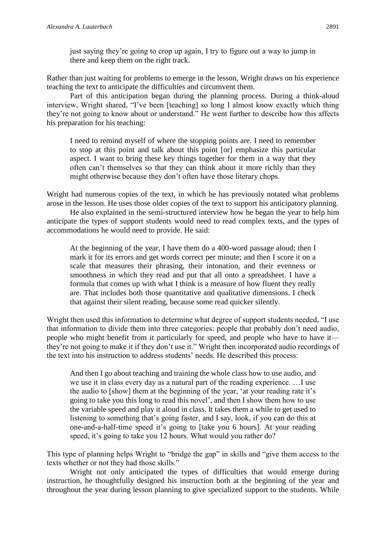just saying they're going to crop up again, I try to figure out a way to jump in there and keep them on the right track.

Rather than just waiting for problems to emerge in the lesson, Wright draws on his experience teaching the text to anticipate the difficulties and circumvent them.

Part of this anticipation began during the planning process. During a think-aloud interview, Wright shared, "I've been [teaching] so long I almost know exactly which thing they're not going to know about or understand." He went further to describe how this affects his preparation for his teaching:

I need to remind myself of where the stopping points are. I need to remember to stop at this point and talk about this point [or] emphasize this particular aspect. I want to bring these key things together for them in a way that they often can't themselves so that they can think about it more richly than they might otherwise because they don't often have those literary chops.

Wright had numerous copies of the text, in which he has previously notated what problems arose in the lesson. He uses those older copies of the text to support his anticipatory planning.

He also explained in the semi-structured interview how he began the year to help him anticipate the types of support students would need to read complex texts, and the types of accommodations he would need to provide. He said:

At the beginning of the year, I have them do a 400-word passage aloud; then I mark it for its errors and get words correct per minute; and then I score it on a scale that measures their phrasing, their intonation, and their evenness or smoothness in which they read and put that all onto a spreadsheet. I have a formula that comes up with what I think is a measure of how fluent they really are. That includes both those quantitative and qualitative dimensions. I check that against their silent reading, because some read quicker silently.

Wright then used this information to determine what degree of support students needed, "I use that information to divide them into three categories: people that probably don't need audio, people who might benefit from it particularly for speed, and people who have to have it they're not going to make it if they don't use it." Wright then incorporated audio recordings of the text into his instruction to address students' needs. He described this process:

And then I go about teaching and training the whole class how to use audio, and we use it in class every day as a natural part of the reading experience. …I use the audio to [show] them at the beginning of the year, 'at your reading rate it's going to take you this long to read this novel', and then I show them how to use the variable speed and play it aloud in class. It takes them a while to get used to listening to something that's going faster, and I say, look, if you can do this at one-and-a-half-time speed it's going to [take you 6 hours]. At your reading speed, it's going to take you 12 hours. What would you rather do?

This type of planning helps Wright to "bridge the gap" in skills and "give them access to the texts whether or not they had those skills."

Wright not only anticipated the types of difficulties that would emerge during instruction, he thoughtfully designed his instruction both at the beginning of the year and throughout the year during lesson planning to give specialized support to the students. While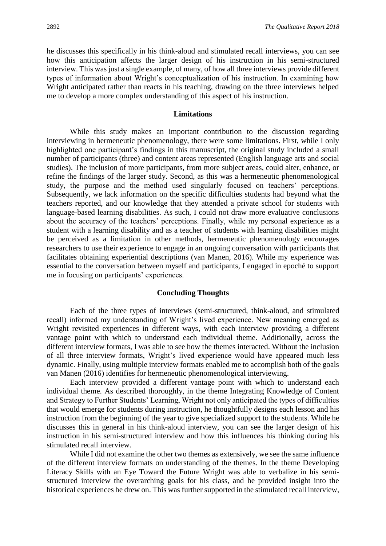he discusses this specifically in his think-aloud and stimulated recall interviews, you can see how this anticipation affects the larger design of his instruction in his semi-structured interview. This was just a single example, of many, of how all three interviews provide different types of information about Wright's conceptualization of his instruction. In examining how Wright anticipated rather than reacts in his teaching, drawing on the three interviews helped me to develop a more complex understanding of this aspect of his instruction.

#### **Limitations**

While this study makes an important contribution to the discussion regarding interviewing in hermeneutic phenomenology, there were some limitations. First, while I only highlighted one participant's findings in this manuscript, the original study included a small number of participants (three) and content areas represented (English language arts and social studies). The inclusion of more participants, from more subject areas, could alter, enhance, or refine the findings of the larger study. Second, as this was a hermeneutic phenomenological study, the purpose and the method used singularly focused on teachers' perceptions. Subsequently, we lack information on the specific difficulties students had beyond what the teachers reported, and our knowledge that they attended a private school for students with language-based learning disabilities. As such, I could not draw more evaluative conclusions about the accuracy of the teachers' perceptions. Finally, while my personal experience as a student with a learning disability and as a teacher of students with learning disabilities might be perceived as a limitation in other methods, hermeneutic phenomenology encourages researchers to use their experience to engage in an ongoing conversation with participants that facilitates obtaining experiential descriptions (van Manen, 2016). While my experience was essential to the conversation between myself and participants, I engaged in epoché to support me in focusing on participants' experiences.

#### **Concluding Thoughts**

Each of the three types of interviews (semi-structured, think-aloud, and stimulated recall) informed my understanding of Wright's lived experience. New meaning emerged as Wright revisited experiences in different ways, with each interview providing a different vantage point with which to understand each individual theme. Additionally, across the different interview formats, I was able to see how the themes interacted. Without the inclusion of all three interview formats, Wright's lived experience would have appeared much less dynamic. Finally, using multiple interview formats enabled me to accomplish both of the goals van Manen (2016) identifies for hermeneutic phenomenological interviewing.

Each interview provided a different vantage point with which to understand each individual theme. As described thoroughly, in the theme Integrating Knowledge of Content and Strategy to Further Students' Learning, Wright not only anticipated the types of difficulties that would emerge for students during instruction, he thoughtfully designs each lesson and his instruction from the beginning of the year to give specialized support to the students. While he discusses this in general in his think-aloud interview, you can see the larger design of his instruction in his semi-structured interview and how this influences his thinking during his stimulated recall interview.

While I did not examine the other two themes as extensively, we see the same influence of the different interview formats on understanding of the themes. In the theme Developing Literacy Skills with an Eye Toward the Future Wright was able to verbalize in his semistructured interview the overarching goals for his class, and he provided insight into the historical experiences he drew on. This was further supported in the stimulated recall interview,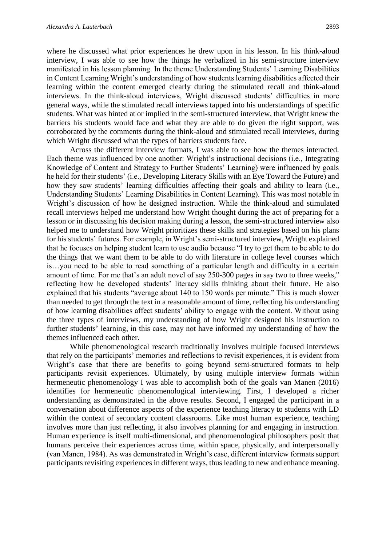where he discussed what prior experiences he drew upon in his lesson. In his think-aloud interview, I was able to see how the things he verbalized in his semi-structure interview manifested in his lesson planning. In the theme Understanding Students' Learning Disabilities in Content Learning Wright's understanding of how students learning disabilities affected their learning within the content emerged clearly during the stimulated recall and think-aloud interviews. In the think-aloud interviews, Wright discussed students' difficulties in more general ways, while the stimulated recall interviews tapped into his understandings of specific students. What was hinted at or implied in the semi-structured interview, that Wright knew the barriers his students would face and what they are able to do given the right support, was corroborated by the comments during the think-aloud and stimulated recall interviews, during which Wright discussed what the types of barriers students face.

Across the different interview formats, I was able to see how the themes interacted. Each theme was influenced by one another: Wright's instructional decisions (i.e., Integrating Knowledge of Content and Strategy to Further Students' Learning) were influenced by goals he held for their students' (i.e., Developing Literacy Skills with an Eye Toward the Future) and how they saw students' learning difficulties affecting their goals and ability to learn (i.e., Understanding Students' Learning Disabilities in Content Learning). This was most notable in Wright's discussion of how he designed instruction. While the think-aloud and stimulated recall interviews helped me understand how Wright thought during the act of preparing for a lesson or in discussing his decision making during a lesson, the semi-structured interview also helped me to understand how Wright prioritizes these skills and strategies based on his plans for his students' futures. For example, in Wright's semi-structured interview, Wright explained that he focuses on helping student learn to use audio because "I try to get them to be able to do the things that we want them to be able to do with literature in college level courses which is…you need to be able to read something of a particular length and difficulty in a certain amount of time. For me that's an adult novel of say 250-300 pages in say two to three weeks," reflecting how he developed students' literacy skills thinking about their future. He also explained that his students "average about 140 to 150 words per minute." This is much slower than needed to get through the text in a reasonable amount of time, reflecting his understanding of how learning disabilities affect students' ability to engage with the content. Without using the three types of interviews, my understanding of how Wright designed his instruction to further students' learning, in this case, may not have informed my understanding of how the themes influenced each other.

While phenomenological research traditionally involves multiple focused interviews that rely on the participants' memories and reflections to revisit experiences, it is evident from Wright's case that there are benefits to going beyond semi-structured formats to help participants revisit experiences. Ultimately, by using multiple interview formats within hermeneutic phenomenology I was able to accomplish both of the goals van Manen (2016) identifies for hermeneutic phenomenological interviewing. First, I developed a richer understanding as demonstrated in the above results. Second, I engaged the participant in a conversation about difference aspects of the experience teaching literacy to students with LD within the context of secondary content classrooms. Like most human experience, teaching involves more than just reflecting, it also involves planning for and engaging in instruction. Human experience is itself multi-dimensional, and phenomenological philosophers posit that humans perceive their experiences across time, within space, physically, and interpersonally (van Manen, 1984). As was demonstrated in Wright's case, different interview formats support participants revisiting experiences in different ways, thus leading to new and enhance meaning.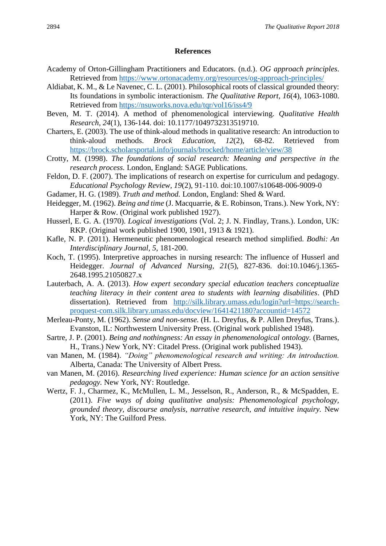# **References**

- Academy of Orton-Gillingham Practitioners and Educators. (n.d.). *OG approach principles*. Retrieved from <https://www.ortonacademy.org/resources/og-approach-principles/>
- Aldiabat, K. M., & Le Navenec, C. L. (2001). Philosophical roots of classical grounded theory: Its foundations in symbolic interactionism. *The Qualitative Report, 16*(4), 1063-1080. Retrieved from<https://nsuworks.nova.edu/tqr/vol16/iss4/9>
- Beven, M. T. (2014). A method of phenomenological interviewing. *Qualitative Health Research, 24*(1), 136-144. doi: 10.1177/1049732313519710.
- Charters, E. (2003). The use of think-aloud methods in qualitative research: An introduction to think-aloud methods. *Brock Education, 12*(2), 68-82. Retrieved from <https://brock.scholarsportal.info/journals/brocked/home/article/view/38>
- Crotty, M. (1998). *The foundations of social research: Meaning and perspective in the research process.* London, England: SAGE Publications.
- Feldon, D. F. (2007). The implications of research on expertise for curriculum and pedagogy. *Educational Psychology Review, 19*(2), 91-110. doi:10.1007/s10648-006-9009-0
- Gadamer, H. G. (1989). *Truth and method.* London, England: Shed & Ward.
- Heidegger, M. (1962). *Being and time* (J. Macquarrie, & E. Robinson, Trans.). New York, NY: Harper & Row. (Original work published 1927).
- Husserl, E. G. A. (1970). *Logical investigations* (Vol. 2; J. N. Findlay, Trans.). London, UK: RKP. (Original work published 1900, 1901, 1913 & 1921).
- Kafle, N. P. (2011). Hermeneutic phenomenological research method simplified. *Bodhi: An Interdisciplinary Journal, 5*, 181-200.
- Koch, T. (1995). Interpretive approaches in nursing research: The influence of Husserl and Heidegger. *Journal of Advanced Nursing, 21*(5), 827-836. doi:10.1046/j.1365- 2648.1995.21050827.x
- Lauterbach, A. A. (2013). *How expert secondary special education teachers conceptualize teaching literacy in their content area to students with learning disabilities*. (PhD dissertation). Retrieved from [http://silk.library.umass.edu/login?url=https://search](http://silk.library.umass.edu/login?url=https://search-proquest-com.silk.library.umass.edu/docview/1641421180?accountid=14572)[proquest-com.silk.library.umass.edu/docview/1641421180?accountid=14572](http://silk.library.umass.edu/login?url=https://search-proquest-com.silk.library.umass.edu/docview/1641421180?accountid=14572)
- Merleau-Ponty, M. (1962). *Sense and non-sense.* (H. L. Dreyfus, & P. Allen Dreyfus, Trans.). Evanston, IL: Northwestern University Press. (Original work published 1948).
- Sartre, J. P. (2001). *Being and nothingness: An essay in phenomenological ontology.* (Barnes, H., Trans.) New York, NY: Citadel Press. (Original work published 1943).
- van Manen, M. (1984). *"Doing" phenomenological research and writing: An introduction.* Alberta, Canada: The University of Albert Press.
- van Manen, M. (2016). *Researching lived experience: Human science for an action sensitive pedagogy.* New York, NY: Routledge.
- Wertz, F. J., Charmez, K., McMullen, L. M., Jesselson, R., Anderson, R., & McSpadden, E. (2011). *Five ways of doing qualitative analysis: Phenomenological psychology, grounded theory, discourse analysis, narrative research, and intuitive inquiry.* New York, NY: The Guilford Press.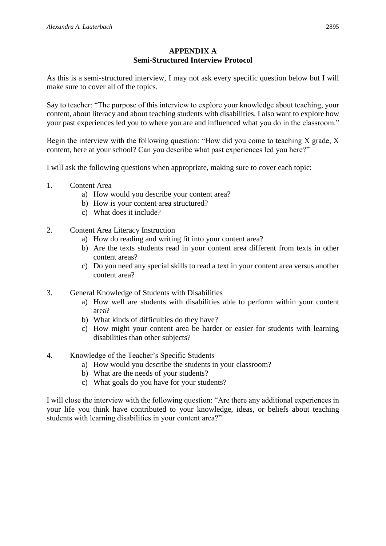# **APPENDIX A Semi-Structured Interview Protocol**

As this is a semi-structured interview, I may not ask every specific question below but I will make sure to cover all of the topics.

Say to teacher: "The purpose of this interview to explore your knowledge about teaching, your content, about literacy and about teaching students with disabilities. I also want to explore how your past experiences led you to where you are and influenced what you do in the classroom."

Begin the interview with the following question: "How did you come to teaching X grade, X content, here at your school? Can you describe what past experiences led you here?"

I will ask the following questions when appropriate, making sure to cover each topic:

- 1. Content Area
	- a) How would you describe your content area?
	- b) How is your content area structured?
	- c) What does it include?
- 2. Content Area Literacy Instruction
	- a) How do reading and writing fit into your content area?
	- b) Are the texts students read in your content area different from texts in other content areas?
	- c) Do you need any special skills to read a text in your content area versus another content area?
- 3. General Knowledge of Students with Disabilities
	- a) How well are students with disabilities able to perform within your content area?
	- b) What kinds of difficulties do they have?
	- c) How might your content area be harder or easier for students with learning disabilities than other subjects?
- 4. Knowledge of the Teacher's Specific Students
	- a) How would you describe the students in your classroom?
	- b) What are the needs of your students?
	- c) What goals do you have for your students?

I will close the interview with the following question: "Are there any additional experiences in your life you think have contributed to your knowledge, ideas, or beliefs about teaching students with learning disabilities in your content area?"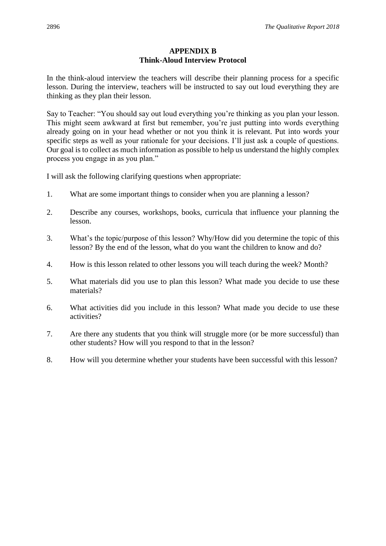# **APPENDIX B Think-Aloud Interview Protocol**

In the think-aloud interview the teachers will describe their planning process for a specific lesson. During the interview, teachers will be instructed to say out loud everything they are thinking as they plan their lesson.

Say to Teacher: "You should say out loud everything you're thinking as you plan your lesson. This might seem awkward at first but remember, you're just putting into words everything already going on in your head whether or not you think it is relevant. Put into words your specific steps as well as your rationale for your decisions. I'll just ask a couple of questions. Our goal is to collect as much information as possible to help us understand the highly complex process you engage in as you plan."

I will ask the following clarifying questions when appropriate:

- 1. What are some important things to consider when you are planning a lesson?
- 2. Describe any courses, workshops, books, curricula that influence your planning the lesson.
- 3. What's the topic/purpose of this lesson? Why/How did you determine the topic of this lesson? By the end of the lesson, what do you want the children to know and do?
- 4. How is this lesson related to other lessons you will teach during the week? Month?
- 5. What materials did you use to plan this lesson? What made you decide to use these materials?
- 6. What activities did you include in this lesson? What made you decide to use these activities?
- 7. Are there any students that you think will struggle more (or be more successful) than other students? How will you respond to that in the lesson?
- 8. How will you determine whether your students have been successful with this lesson?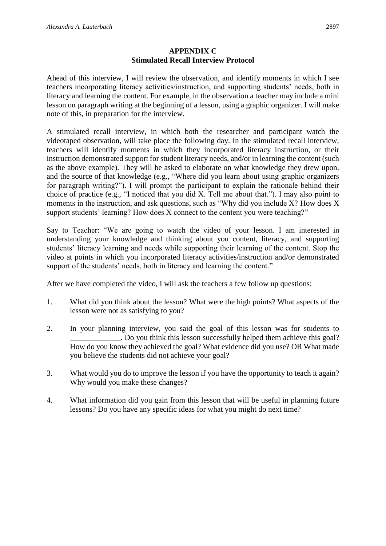# **APPENDIX C Stimulated Recall Interview Protocol**

Ahead of this interview, I will review the observation, and identify moments in which I see teachers incorporating literacy activities/instruction, and supporting students' needs, both in literacy and learning the content. For example, in the observation a teacher may include a mini lesson on paragraph writing at the beginning of a lesson, using a graphic organizer. I will make note of this, in preparation for the interview.

A stimulated recall interview, in which both the researcher and participant watch the videotaped observation, will take place the following day. In the stimulated recall interview, teachers will identify moments in which they incorporated literacy instruction, or their instruction demonstrated support for student literacy needs, and/or in learning the content (such as the above example). They will be asked to elaborate on what knowledge they drew upon, and the source of that knowledge (e.g., "Where did you learn about using graphic organizers for paragraph writing?"). I will prompt the participant to explain the rationale behind their choice of practice (e.g., "I noticed that you did X. Tell me about that."). I may also point to moments in the instruction, and ask questions, such as "Why did you include X? How does X support students' learning? How does X connect to the content you were teaching?"

Say to Teacher: "We are going to watch the video of your lesson. I am interested in understanding your knowledge and thinking about you content, literacy, and supporting students' literacy learning and needs while supporting their learning of the content. Stop the video at points in which you incorporated literacy activities/instruction and/or demonstrated support of the students' needs, both in literacy and learning the content."

After we have completed the video, I will ask the teachers a few follow up questions:

- 1. What did you think about the lesson? What were the high points? What aspects of the lesson were not as satisfying to you?
- 2. In your planning interview, you said the goal of this lesson was for students to \_\_\_\_\_\_\_\_\_\_\_\_\_. Do you think this lesson successfully helped them achieve this goal? How do you know they achieved the goal? What evidence did you use? OR What made you believe the students did not achieve your goal?
- 3. What would you do to improve the lesson if you have the opportunity to teach it again? Why would you make these changes?
- 4. What information did you gain from this lesson that will be useful in planning future lessons? Do you have any specific ideas for what you might do next time?